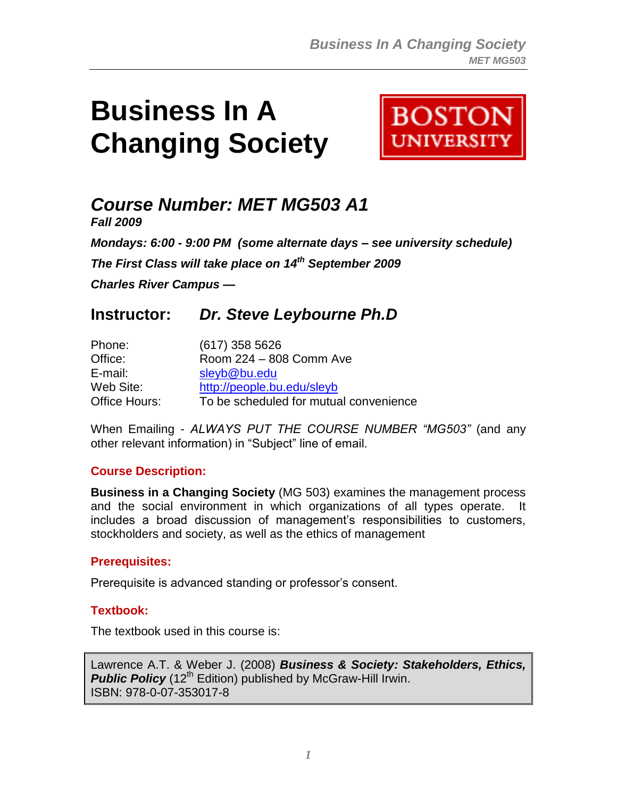# **Business In A Changing Society**



## *Course Number: MET MG503 A1*

*Fall 2009*

*Mondays: 6:00 - 9:00 PM (some alternate days – see university schedule) The First Class will take place on 14th September 2009*

*Charles River Campus —*

### **Instructor:** *Dr. Steve Leybourne Ph.D*

| Phone:        | $(617)$ 358 5626                       |
|---------------|----------------------------------------|
| Office:       | Room 224 - 808 Comm Ave                |
| E-mail:       | sleyb@bu.edu                           |
| Web Site:     | http://people.bu.edu/sleyb             |
| Office Hours: | To be scheduled for mutual convenience |

When Emailing - *ALWAYS PUT THE COURSE NUMBER "MG503"* (and any other relevant information) in "Subject" line of email.

#### **Course Description:**

**Business in a Changing Society** (MG 503) examines the management process and the social environment in which organizations of all types operate. It includes a broad discussion of management's responsibilities to customers, stockholders and society, as well as the ethics of management

#### **Prerequisites:**

Prerequisite is advanced standing or professor's consent.

#### **Textbook:**

The textbook used in this course is:

```
Lawrence A.T. & Weber J. (2008) Business & Society: Stakeholders, Ethics, 
Public Policy (12<sup>th</sup> Edition) published by McGraw-Hill Irwin.
ISBN: 978-0-07-353017-8
```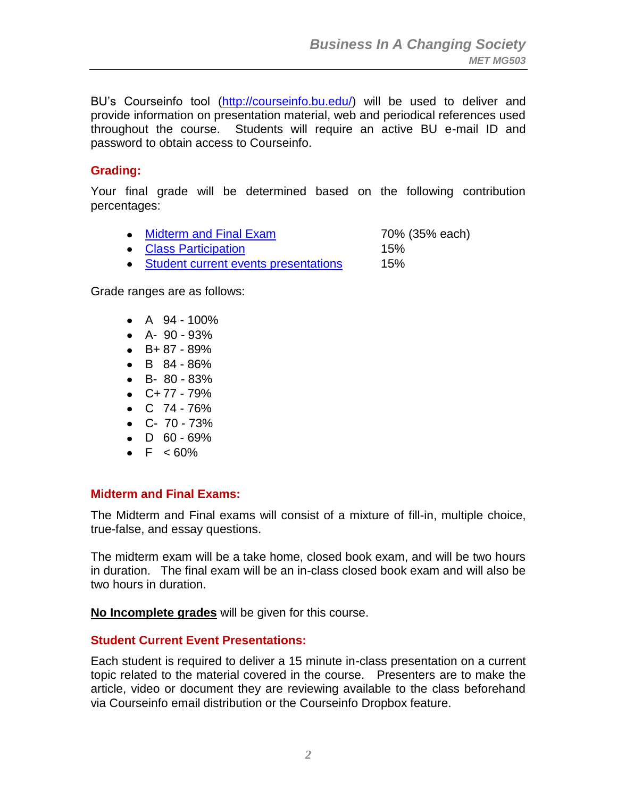BU's Courseinfo tool [\(http://courseinfo.bu.edu/\)](http://courseinfo.bu.edu/) will be used to deliver and provide information on presentation material, web and periodical references used throughout the course. Students will require an active BU e-mail ID and password to obtain access to Courseinfo.

#### **Grading:**

Your final grade will be determined based on the following contribution percentages:

|  | <b>Midterm and Final Exam</b> | 70% (35% each) |
|--|-------------------------------|----------------|
|--|-------------------------------|----------------|

- [Class Participation](#page-2-0) 15%
- [Student current events presentations](#page-1-1) 15%

Grade ranges are as follows:

- $A \ 94 100\%$
- $\bullet$  A- 90 93%
- $-B+ 87 89%$
- $\bullet$  B 84 86%
- B- 80 83%
- $\bullet$  C+77 79%
- $\bullet$  C 74 76%
- $\bullet$  C- 70 73%
- $\bullet$  D 60 69%
- $\bullet$  F  $\leq 60\%$

#### <span id="page-1-0"></span>**Midterm and Final Exams:**

The Midterm and Final exams will consist of a mixture of fill-in, multiple choice, true-false, and essay questions.

The midterm exam will be a take home, closed book exam, and will be two hours in duration. The final exam will be an in-class closed book exam and will also be two hours in duration.

**No Incomplete grades** will be given for this course.

#### <span id="page-1-1"></span>**Student Current Event Presentations:**

Each student is required to deliver a 15 minute in-class presentation on a current topic related to the material covered in the course. Presenters are to make the article, video or document they are reviewing available to the class beforehand via Courseinfo email distribution or the Courseinfo Dropbox feature.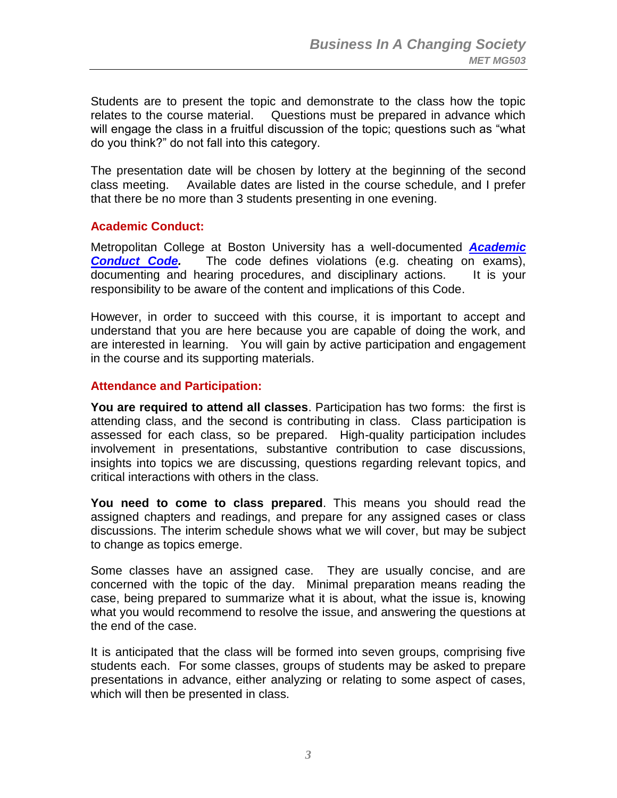Students are to present the topic and demonstrate to the class how the topic relates to the course material. Questions must be prepared in advance which will engage the class in a fruitful discussion of the topic; questions such as "what do you think?" do not fall into this category.

The presentation date will be chosen by lottery at the beginning of the second class meeting. Available dates are listed in the course schedule, and I prefer that there be no more than 3 students presenting in one evening.

#### **Academic Conduct:**

Metropolitan College at Boston University has a well-documented *[Academic](http://www.bu.edu/met/metropolitan_college_people/student/resources/conduct/code.html)*  **[Conduct Code.](http://www.bu.edu/met/metropolitan_college_people/student/resources/conduct/code.html)** The code defines violations (e.g. cheating on exams), documenting and hearing procedures, and disciplinary actions. It is your responsibility to be aware of the content and implications of this Code.

However, in order to succeed with this course, it is important to accept and understand that you are here because you are capable of doing the work, and are interested in learning. You will gain by active participation and engagement in the course and its supporting materials.

#### <span id="page-2-0"></span>**Attendance and Participation:**

**You are required to attend all classes**. Participation has two forms: the first is attending class, and the second is contributing in class. Class participation is assessed for each class, so be prepared. High-quality participation includes involvement in presentations, substantive contribution to case discussions, insights into topics we are discussing, questions regarding relevant topics, and critical interactions with others in the class.

**You need to come to class prepared**. This means you should read the assigned chapters and readings, and prepare for any assigned cases or class discussions. The interim schedule shows what we will cover, but may be subject to change as topics emerge.

Some classes have an assigned case. They are usually concise, and are concerned with the topic of the day. Minimal preparation means reading the case, being prepared to summarize what it is about, what the issue is, knowing what you would recommend to resolve the issue, and answering the questions at the end of the case.

It is anticipated that the class will be formed into seven groups, comprising five students each. For some classes, groups of students may be asked to prepare presentations in advance, either analyzing or relating to some aspect of cases, which will then be presented in class.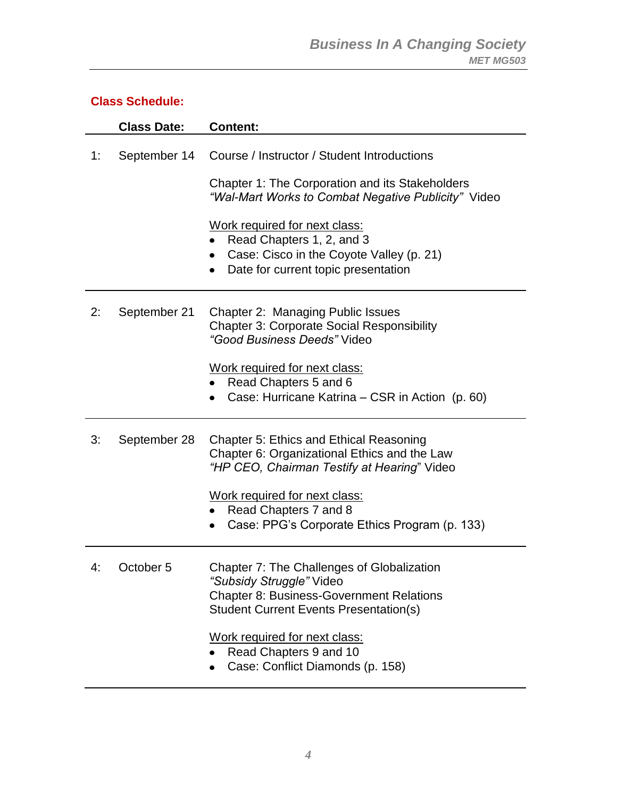#### **Class Schedule:**

|    | <b>Class Date:</b> | <b>Content:</b>                                                                                                                                                                                                                                                                                             |
|----|--------------------|-------------------------------------------------------------------------------------------------------------------------------------------------------------------------------------------------------------------------------------------------------------------------------------------------------------|
| 1: | September 14       | Course / Instructor / Student Introductions<br>Chapter 1: The Corporation and its Stakeholders<br>"Wal-Mart Works to Combat Negative Publicity" Video<br>Work required for next class:<br>Read Chapters 1, 2, and 3<br>Case: Cisco in the Coyote Valley (p. 21)<br>Date for current topic presentation<br>٠ |
| 2: | September 21       | Chapter 2: Managing Public Issues<br><b>Chapter 3: Corporate Social Responsibility</b><br>"Good Business Deeds" Video<br>Work required for next class:<br>Read Chapters 5 and 6<br>Case: Hurricane Katrina – CSR in Action (p. 60)                                                                          |
| 3: | September 28       | <b>Chapter 5: Ethics and Ethical Reasoning</b><br>Chapter 6: Organizational Ethics and the Law<br>"HP CEO, Chairman Testify at Hearing" Video<br>Work required for next class:<br>Read Chapters 7 and 8<br>Case: PPG's Corporate Ethics Program (p. 133)                                                    |
| 4: | October 5          | <b>Chapter 7: The Challenges of Globalization</b><br>"Subsidy Struggle" Video<br><b>Chapter 8: Business-Government Relations</b><br><b>Student Current Events Presentation(s)</b><br>Work required for next class:<br>Read Chapters 9 and 10<br>Case: Conflict Diamonds (p. 158)                            |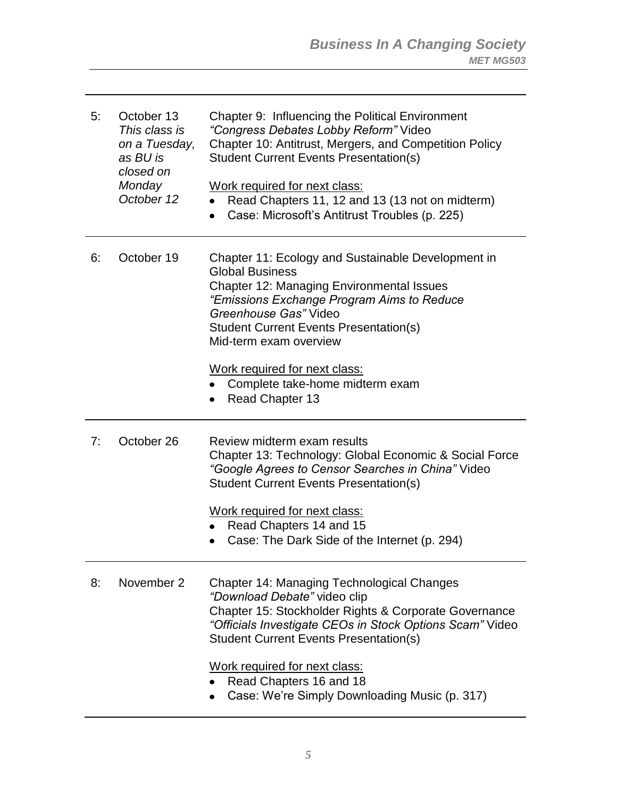| 5: | October 13<br>This class is<br>on a Tuesday,<br>as BU is<br>closed on<br>Monday<br>October 12 | Chapter 9: Influencing the Political Environment<br>"Congress Debates Lobby Reform" Video<br>Chapter 10: Antitrust, Mergers, and Competition Policy<br><b>Student Current Events Presentation(s)</b><br>Work required for next class:<br>Read Chapters 11, 12 and 13 (13 not on midterm)<br>Case: Microsoft's Antitrust Troubles (p. 225)                                              |
|----|-----------------------------------------------------------------------------------------------|----------------------------------------------------------------------------------------------------------------------------------------------------------------------------------------------------------------------------------------------------------------------------------------------------------------------------------------------------------------------------------------|
| 6: | October 19                                                                                    | Chapter 11: Ecology and Sustainable Development in<br><b>Global Business</b><br><b>Chapter 12: Managing Environmental Issues</b><br>"Emissions Exchange Program Aims to Reduce<br>Greenhouse Gas" Video<br><b>Student Current Events Presentation(s)</b><br>Mid-term exam overview<br>Work required for next class:<br>Complete take-home midterm exam<br>Read Chapter 13<br>$\bullet$ |
| 7: | October 26                                                                                    | Review midterm exam results<br>Chapter 13: Technology: Global Economic & Social Force<br>"Google Agrees to Censor Searches in China" Video<br><b>Student Current Events Presentation(s)</b><br>Work required for next class:<br>Read Chapters 14 and 15<br>$\bullet$<br>Case: The Dark Side of the Internet (p. 294)                                                                   |
| 8: | November 2                                                                                    | <b>Chapter 14: Managing Technological Changes</b><br>"Download Debate" video clip<br>Chapter 15: Stockholder Rights & Corporate Governance<br>"Officials Investigate CEOs in Stock Options Scam" Video<br><b>Student Current Events Presentation(s)</b><br>Work required for next class:<br>Read Chapters 16 and 18<br>Case: We're Simply Downloading Music (p. 317)                   |